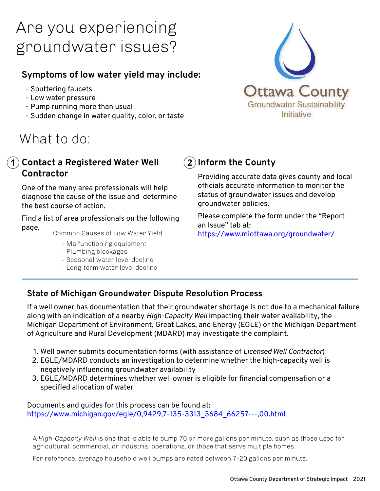# Are you experiencing groundwater issues?

### **Symptoms of low water yield may include:**

- Sputtering faucets
- Low water pressure
- Pump running more than usual
- Sudden change in water quality, color, or taste

## What to do:

#### **Contact a Registered Water Well 1 2Contractor**

One of the many area professionals will help diagnose the cause of the issue and determine the best course of action.

Find a list of area professionals on the following page.

Common Causes of Low Water Yield

- Malfunctioning equipment
- Plumbing blockages
- Seasonal water level decline
- Long-term water level decline



## **Inform the County**

Providing accurate data gives county and local officials accurate information to monitor the status of groundwater issues and develop groundwater policies.

Please complete the form under the "Report an Issue" tab at: https://www.miottawa.org/groundwater/

#### **State of Michigan Groundwater Dispute Resolution Process**

If a well owner has documentation that their groundwater shortage is not due to a mechanical failure along with an indication of a nearby *High-Capacity Well* impacting their water availability, the Michigan Department of Environment, Great Lakes, and Energy (EGLE) or the Michigan Department of Agriculture and Rural Development (MDARD) may investigate the complaint.

- 1. Well owner submits documentation forms (with assistance of *Licensed Well Contractor*)
- 2. EGLE/MDARD conducts an investigation to determine whether the high-capacity well is negatively influencing groundwater availability
- 3. EGLE/MDARD determines whether well owner is eligible for financial compensation or a specified allocation of water

#### Documents and guides for this process can be found at: [https://www.michigan.gov/egle/0,9429,7-135-3313\\_3684\\_66257---,00.html](https://www.michigan.gov/egle/0,9429,7-135-3313_3684_66257---,00.html)

A *High-Capacity Well* is one that is able to pump 70 or more gallons per minute, such as those used for agricultural, commercial, or industrial operations, or those that serve multiple homes.

For reference, average household well pumps are rated between 7-20 gallons per minute.